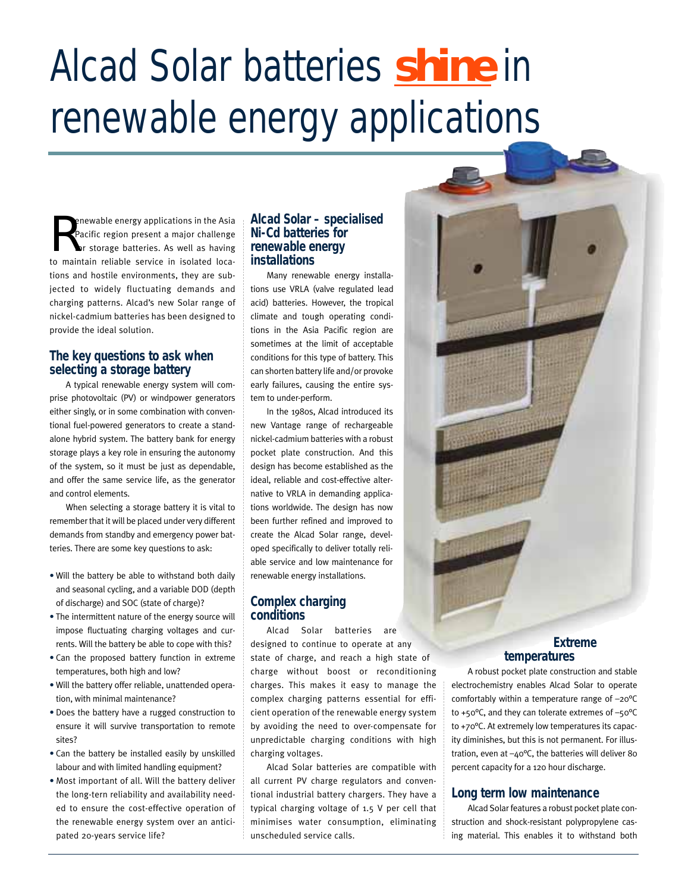# Alcad Solar batteries **shine** in renewable energy applications

R enewable energy applications in the Asia Pacific region present a major challenge for storage batteries. As well as having to maintain reliable service in isolated locations and hostile environments, they are subjected to widely fluctuating demands and charging patterns. Alcad's new Solar range of nickel-cadmium batteries has been designed to provide the ideal solution.

# **The key questions to ask when selecting a storage battery**

A typical renewable energy system will comprise photovoltaic (PV) or windpower generators either singly, or in some combination with conventional fuel-powered generators to create a standalone hybrid system. The battery bank for energy storage plays a key role in ensuring the autonomy of the system, so it must be just as dependable, and offer the same service life, as the generator and control elements.

When selecting a storage battery it is vital to remember that it will be placed under very different demands from standby and emergency power batteries. There are some key questions to ask:

- Will the battery be able to withstand both daily and seasonal cycling, and a variable DOD (depth of discharge) and SOC (state of charge)?
- The intermittent nature of the energy source will impose fluctuating charging voltages and currents. Will the battery be able to cope with this?
- Can the proposed battery function in extreme temperatures, both high and low?
- Will the battery offer reliable, unattended operation, with minimal maintenance?
- Does the battery have a rugged construction to ensure it will survive transportation to remote sites?
- Can the battery be installed easily by unskilled labour and with limited handling equipment?
- Most important of all. Will the battery deliver the long-tern reliability and availability needed to ensure the cost-effective operation of the renewable energy system over an anticipated 20-years service life?

# **Alcad Solar – specialised Ni-Cd batteries for renewable energy installations**

Many renewable energy installations use VRLA (valve regulated lead acid) batteries. However, the tropical climate and tough operating conditions in the Asia Pacific region are sometimes at the limit of acceptable conditions for this type of battery. This can shorten battery life and/or provoke early failures, causing the entire system to under-perform.

In the 1980s, Alcad introduced its new Vantage range of rechargeable nickel-cadmium batteries with a robust pocket plate construction. And this design has become established as the ideal, reliable and cost-effective alternative to VRLA in demanding applications worldwide. The design has now been further refined and improved to create the Alcad Solar range, developed specifically to deliver totally reliable service and low maintenance for renewable energy installations.

# **Complex charging conditions**

Alcad Solar batteries are designed to continue to operate at any state of charge, and reach a high state of charge without boost or reconditioning charges. This makes it easy to manage the complex charging patterns essential for efficient operation of the renewable energy system by avoiding the need to over-compensate for unpredictable charging conditions with high charging voltages.

Alcad Solar batteries are compatible with all current PV charge regulators and conventional industrial battery chargers. They have a typical charging voltage of 1.5 V per cell that minimises water consumption, eliminating unscheduled service calls.

# **Extreme temperatures**

A robust pocket plate construction and stable electrochemistry enables Alcad Solar to operate comfortably within a temperature range of –20°C to +50 $^{\circ}$ C, and they can tolerate extremes of  $-50^{\circ}$ C to +70°C. At extremely low temperatures its capacity diminishes, but this is not permanent. For illustration, even at  $-40^{\circ}$ C, the batteries will deliver 80 percent capacity for a 120 hour discharge.

## **Long term low maintenance**

Alcad Solar features a robust pocket plate construction and shock-resistant polypropylene casing material. This enables it to withstand both